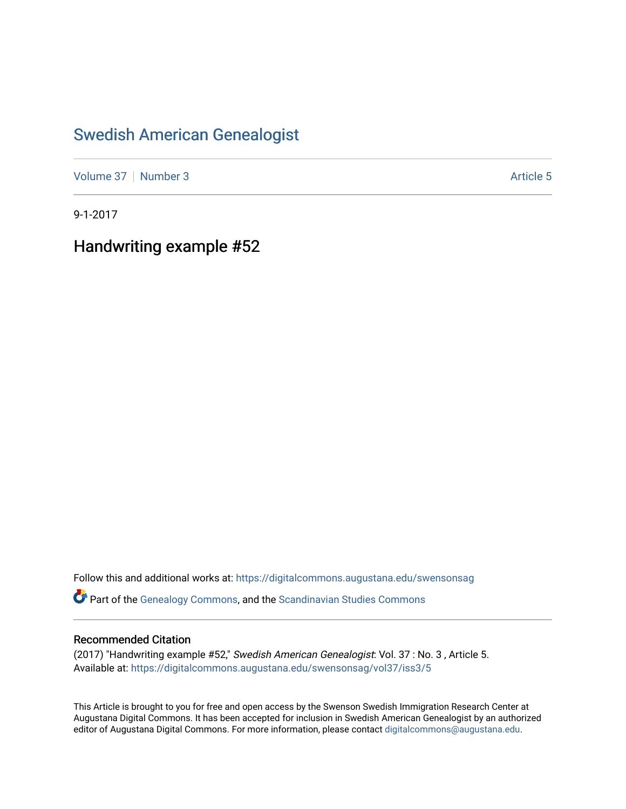## [Swedish American Genealogist](https://digitalcommons.augustana.edu/swensonsag)

[Volume 37](https://digitalcommons.augustana.edu/swensonsag/vol37) | [Number 3](https://digitalcommons.augustana.edu/swensonsag/vol37/iss3) Article 5

9-1-2017

Handwriting example #52

Follow this and additional works at: [https://digitalcommons.augustana.edu/swensonsag](https://digitalcommons.augustana.edu/swensonsag?utm_source=digitalcommons.augustana.edu%2Fswensonsag%2Fvol37%2Fiss3%2F5&utm_medium=PDF&utm_campaign=PDFCoverPages) 

Part of the [Genealogy Commons,](http://network.bepress.com/hgg/discipline/1342?utm_source=digitalcommons.augustana.edu%2Fswensonsag%2Fvol37%2Fiss3%2F5&utm_medium=PDF&utm_campaign=PDFCoverPages) and the [Scandinavian Studies Commons](http://network.bepress.com/hgg/discipline/485?utm_source=digitalcommons.augustana.edu%2Fswensonsag%2Fvol37%2Fiss3%2F5&utm_medium=PDF&utm_campaign=PDFCoverPages)

## Recommended Citation

(2017) "Handwriting example #52," Swedish American Genealogist: Vol. 37 : No. 3 , Article 5. Available at: [https://digitalcommons.augustana.edu/swensonsag/vol37/iss3/5](https://digitalcommons.augustana.edu/swensonsag/vol37/iss3/5?utm_source=digitalcommons.augustana.edu%2Fswensonsag%2Fvol37%2Fiss3%2F5&utm_medium=PDF&utm_campaign=PDFCoverPages) 

This Article is brought to you for free and open access by the Swenson Swedish Immigration Research Center at Augustana Digital Commons. It has been accepted for inclusion in Swedish American Genealogist by an authorized editor of Augustana Digital Commons. For more information, please contact [digitalcommons@augustana.edu.](mailto:digitalcommons@augustana.edu)